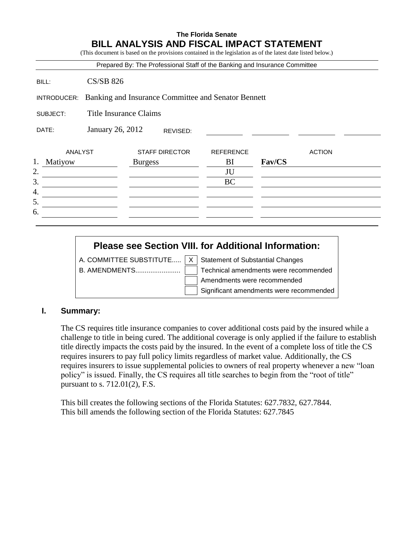## **The Florida Senate BILL ANALYSIS AND FISCAL IMPACT STATEMENT**

(This document is based on the provisions contained in the legislation as of the latest date listed below.)

|                                                                    |                              |                |                       | Prepared By: The Professional Staff of the Banking and Insurance Committee |        |               |  |
|--------------------------------------------------------------------|------------------------------|----------------|-----------------------|----------------------------------------------------------------------------|--------|---------------|--|
| BILL:                                                              | <b>CS/SB 826</b>             |                |                       |                                                                            |        |               |  |
| Banking and Insurance Committee and Senator Bennett<br>INTRODUCER: |                              |                |                       |                                                                            |        |               |  |
| SUBJECT:                                                           | Title Insurance Claims       |                |                       |                                                                            |        |               |  |
| DATE:                                                              | January 26, 2012<br>REVISED: |                |                       |                                                                            |        |               |  |
| ANALYST                                                            |                              |                | <b>STAFF DIRECTOR</b> | <b>REFERENCE</b>                                                           |        | <b>ACTION</b> |  |
| 1.<br>Matiyow                                                      |                              | <b>Burgess</b> |                       | BI                                                                         | Fav/CS |               |  |
| 2.                                                                 |                              |                |                       | JU                                                                         |        |               |  |
| 3.                                                                 |                              |                |                       | <b>BC</b>                                                                  |        |               |  |
| 4.                                                                 |                              |                |                       |                                                                            |        |               |  |
| 5.                                                                 |                              |                |                       |                                                                            |        |               |  |
| 6.                                                                 |                              |                |                       |                                                                            |        |               |  |
|                                                                    |                              |                |                       |                                                                            |        |               |  |

# **Please see Section VIII. for Additional Information:**

A. COMMITTEE SUBSTITUTE.....  $\boxed{X}$  Statement of Substantial Changes

B. AMENDMENTS........................ Technical amendments were recommended Amendments were recommended Significant amendments were recommended

#### **I. Summary:**

The CS requires title insurance companies to cover additional costs paid by the insured while a challenge to title in being cured. The additional coverage is only applied if the failure to establish title directly impacts the costs paid by the insured. In the event of a complete loss of title the CS requires insurers to pay full policy limits regardless of market value. Additionally, the CS requires insurers to issue supplemental policies to owners of real property whenever a new "loan policy" is issued. Finally, the CS requires all title searches to begin from the "root of title" pursuant to s. 712.01(2), F.S.

This bill creates the following sections of the Florida Statutes: 627.7832, 627.7844. This bill amends the following section of the Florida Statutes: 627.7845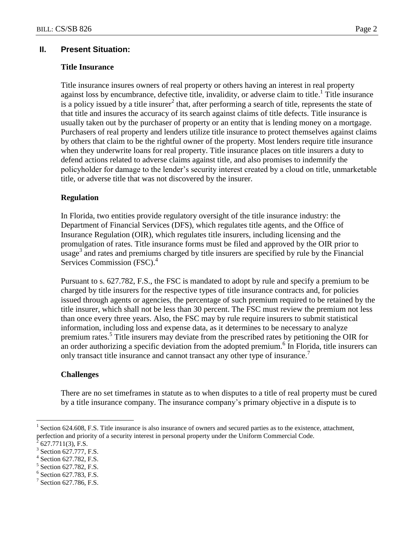### **II. Present Situation:**

#### **Title Insurance**

Title insurance insures owners of real property or others having an interest in real property against loss by encumbrance, defective title, invalidity, or adverse claim to title.<sup>1</sup> Title insurance is a policy issued by a title insurer<sup>2</sup> that, after performing a search of title, represents the state of that title and insures the accuracy of its search against claims of title defects. Title insurance is usually taken out by the purchaser of property or an entity that is lending money on a mortgage. Purchasers of real property and lenders utilize title insurance to protect themselves against claims by others that claim to be the rightful owner of the property. Most lenders require title insurance when they underwrite loans for real property. Title insurance places on title insurers a duty to defend actions related to adverse claims against title, and also promises to indemnify the policyholder for damage to the lender's security interest created by a cloud on title, unmarketable title, or adverse title that was not discovered by the insurer.

#### **Regulation**

In Florida, two entities provide regulatory oversight of the title insurance industry: the Department of Financial Services (DFS), which regulates title agents, and the Office of Insurance Regulation (OIR), which regulates title insurers, including licensing and the promulgation of rates. Title insurance forms must be filed and approved by the OIR prior to  $\mu$ usage<sup>3</sup> and rates and premiums charged by title insurers are specified by rule by the Financial Services Commission (FSC).<sup>4</sup>

Pursuant to s. 627.782, F.S., the FSC is mandated to adopt by rule and specify a premium to be charged by title insurers for the respective types of title insurance contracts and, for policies issued through agents or agencies, the percentage of such premium required to be retained by the title insurer, which shall not be less than 30 percent. The FSC must review the premium not less than once every three years. Also, the FSC may by rule require insurers to submit statistical information, including loss and expense data, as it determines to be necessary to analyze premium rates.<sup>5</sup> Title insurers may deviate from the prescribed rates by petitioning the OIR for an order authorizing a specific deviation from the adopted premium.<sup>6</sup> In Florida, title insurers can only transact title insurance and cannot transact any other type of insurance.<sup>7</sup>

#### **Challenges**

There are no set timeframes in statute as to when disputes to a title of real property must be cured by a title insurance company. The insurance company's primary objective in a dispute is to

 $\overline{a}$ 

- 5 Section 627.782, F.S.
- 6 Section 627.783, F.S.

<sup>1</sup> Section 624.608, F.S. Title insurance is also insurance of owners and secured parties as to the existence, attachment, perfection and priority of a security interest in personal property under the Uniform Commercial Code.<br> $\frac{26277711(2)}{2627}$ 

<sup>627.7711(3),</sup> F.S.

<sup>3</sup> Section 627.777, F.S.

<sup>4</sup> Section 627.782, F.S.

<sup>7</sup> Section 627.786, F.S.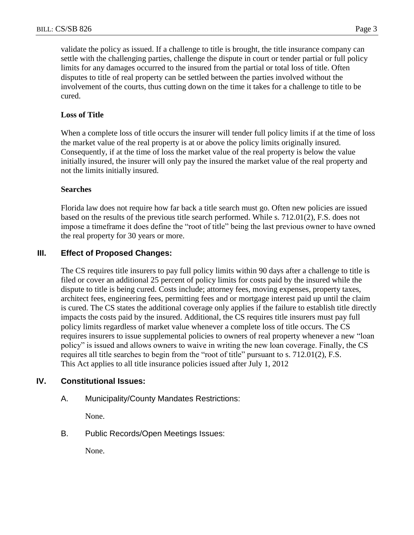validate the policy as issued. If a challenge to title is brought, the title insurance company can settle with the challenging parties, challenge the dispute in court or tender partial or full policy limits for any damages occurred to the insured from the partial or total loss of title. Often disputes to title of real property can be settled between the parties involved without the involvement of the courts, thus cutting down on the time it takes for a challenge to title to be cured.

## **Loss of Title**

When a complete loss of title occurs the insurer will tender full policy limits if at the time of loss the market value of the real property is at or above the policy limits originally insured. Consequently, if at the time of loss the market value of the real property is below the value initially insured, the insurer will only pay the insured the market value of the real property and not the limits initially insured.

#### **Searches**

Florida law does not require how far back a title search must go. Often new policies are issued based on the results of the previous title search performed. While s. 712.01(2), F.S. does not impose a timeframe it does define the "root of title" being the last previous owner to have owned the real property for 30 years or more.

## **III. Effect of Proposed Changes:**

The CS requires title insurers to pay full policy limits within 90 days after a challenge to title is filed or cover an additional 25 percent of policy limits for costs paid by the insured while the dispute to title is being cured. Costs include; attorney fees, moving expenses, property taxes, architect fees, engineering fees, permitting fees and or mortgage interest paid up until the claim is cured. The CS states the additional coverage only applies if the failure to establish title directly impacts the costs paid by the insured. Additional, the CS requires title insurers must pay full policy limits regardless of market value whenever a complete loss of title occurs. The CS requires insurers to issue supplemental policies to owners of real property whenever a new "loan policy" is issued and allows owners to waive in writing the new loan coverage. Finally, the CS requires all title searches to begin from the "root of title" pursuant to s. 712.01(2), F.S. This Act applies to all title insurance policies issued after July 1, 2012

#### **IV. Constitutional Issues:**

A. Municipality/County Mandates Restrictions:

None.

B. Public Records/Open Meetings Issues:

None.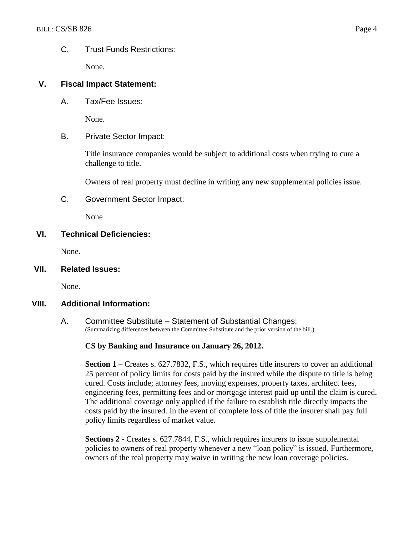### C. Trust Funds Restrictions:

None.

## **V. Fiscal Impact Statement:**

A. Tax/Fee Issues:

None.

B. Private Sector Impact:

Title insurance companies would be subject to additional costs when trying to cure a challenge to title.

Owners of real property must decline in writing any new supplemental policies issue.

C. Government Sector Impact:

None

## **VI. Technical Deficiencies:**

None.

**VII. Related Issues:**

None.

## **VIII. Additional Information:**

A. Committee Substitute – Statement of Substantial Changes: (Summarizing differences between the Committee Substitute and the prior version of the bill.)

#### **CS by Banking and Insurance on January 26, 2012.**

**Section 1** – Creates s. 627.7832, F.S., which requires title insurers to cover an additional 25 percent of policy limits for costs paid by the insured while the dispute to title is being cured. Costs include; attorney fees, moving expenses, property taxes, architect fees, engineering fees, permitting fees and or mortgage interest paid up until the claim is cured. The additional coverage only applied if the failure to establish title directly impacts the costs paid by the insured. In the event of complete loss of title the insurer shall pay full policy limits regardless of market value.

**Sections 2 -** Creates s. 627.7844, F.S., which requires insurers to issue supplemental policies to owners of real property whenever a new "loan policy" is issued. Furthermore, owners of the real property may waive in writing the new loan coverage policies.